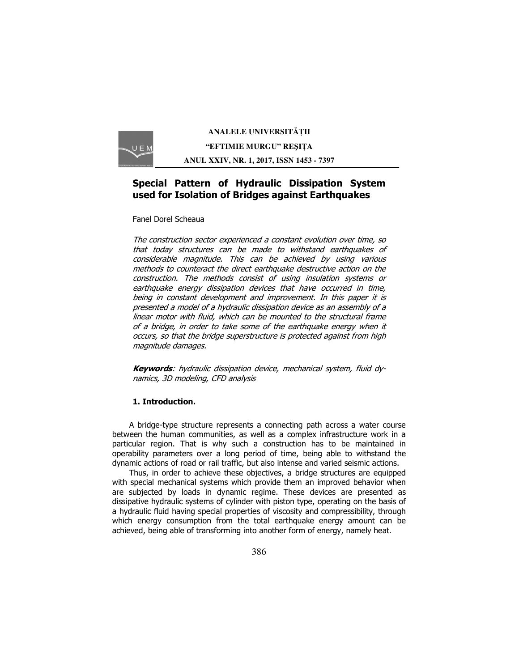

**ANALELE UNIVERSITĂŢII "EFTIMIE MURGU" REŞIŢA ANUL XXIV, NR. 1, 2017, ISSN 1453 - 7397** 

# **Special Pattern of Hydraulic Dissipation System used for Isolation of Bridges against Earthquakes**

Fanel Dorel Scheaua

The construction sector experienced a constant evolution over time, so that today structures can be made to withstand earthquakes of considerable magnitude. This can be achieved by using various methods to counteract the direct earthquake destructive action on the construction. The methods consist of using insulation systems or earthquake energy dissipation devices that have occurred in time, being in constant development and improvement. In this paper it is presented a model of a hydraulic dissipation device as an assembly of a linear motor with fluid, which can be mounted to the structural frame of a bridge, in order to take some of the earthquake energy when it occurs, so that the bridge superstructure is protected against from high magnitude damages.

**Keywords**: hydraulic dissipation device, mechanical system, fluid dynamics, 3D modeling, CFD analysis

### **1. Introduction.**

A bridge-type structure represents a connecting path across a water course between the human communities, as well as a complex infrastructure work in a particular region. That is why such a construction has to be maintained in operability parameters over a long period of time, being able to withstand the dynamic actions of road or rail traffic, but also intense and varied seismic actions.

Thus, in order to achieve these objectives, a bridge structures are equipped with special mechanical systems which provide them an improved behavior when are subjected by loads in dynamic regime. These devices are presented as dissipative hydraulic systems of cylinder with piston type, operating on the basis of a hydraulic fluid having special properties of viscosity and compressibility, through which energy consumption from the total earthquake energy amount can be achieved, being able of transforming into another form of energy, namely heat.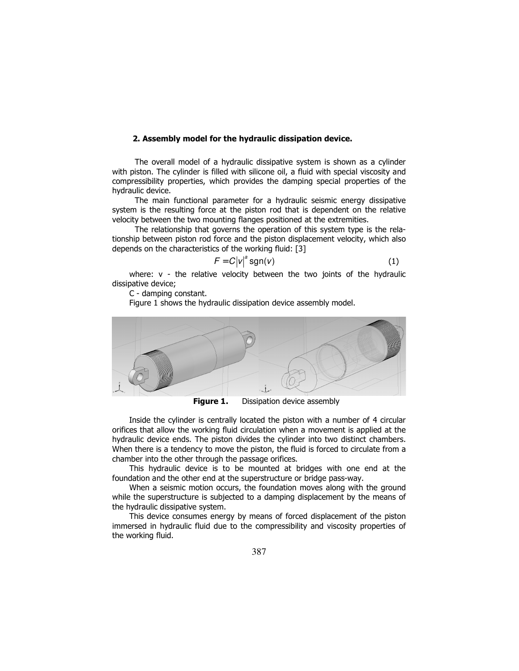# **2. Assembly model for the hydraulic dissipation device.**

The overall model of a hydraulic dissipative system is shown as a cylinder with piston. The cylinder is filled with silicone oil, a fluid with special viscosity and compressibility properties, which provides the damping special properties of the hydraulic device.

The main functional parameter for a hydraulic seismic energy dissipative system is the resulting force at the piston rod that is dependent on the relative velocity between the two mounting flanges positioned at the extremities.

The relationship that governs the operation of this system type is the relationship between piston rod force and the piston displacement velocity, which also depends on the characteristics of the working fluid: [3]

$$
F = C|v|^a \operatorname{sgn}(v) \tag{1}
$$

where: v - the relative velocity between the two joints of the hydraulic dissipative device;

C - damping constant.

Figure 1 shows the hydraulic dissipation device assembly model.



**Figure 1.** Dissipation device assembly

Inside the cylinder is centrally located the piston with a number of 4 circular orifices that allow the working fluid circulation when a movement is applied at the hydraulic device ends. The piston divides the cylinder into two distinct chambers. When there is a tendency to move the piston, the fluid is forced to circulate from a chamber into the other through the passage orifices.

This hydraulic device is to be mounted at bridges with one end at the foundation and the other end at the superstructure or bridge pass-way.

When a seismic motion occurs, the foundation moves along with the ground while the superstructure is subjected to a damping displacement by the means of the hydraulic dissipative system.

This device consumes energy by means of forced displacement of the piston immersed in hydraulic fluid due to the compressibility and viscosity properties of the working fluid.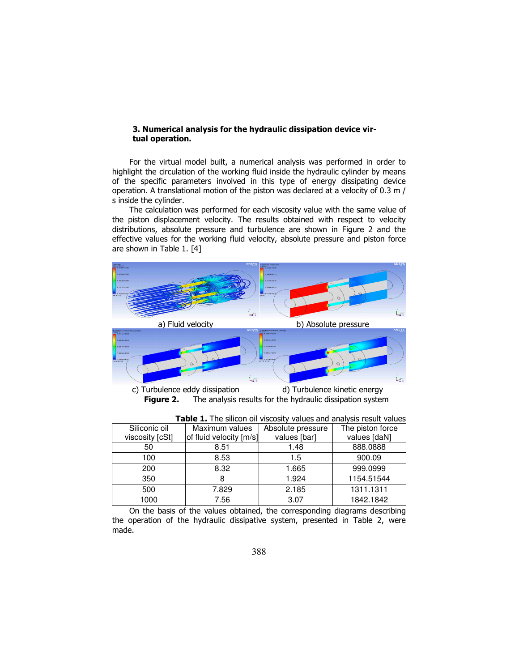#### **3. Numerical analysis for the hydraulic dissipation device virtual operation.**

For the virtual model built, a numerical analysis was performed in order to highlight the circulation of the working fluid inside the hydraulic cylinder by means of the specific parameters involved in this type of energy dissipating device operation. A translational motion of the piston was declared at a velocity of 0.3 m / s inside the cylinder.

The calculation was performed for each viscosity value with the same value of the piston displacement velocity. The results obtained with respect to velocity distributions, absolute pressure and turbulence are shown in Figure 2 and the effective values for the working fluid velocity, absolute pressure and piston force are shown in Table 1. [4]



c) Turbulence eddy dissipation d) Turbulence kinetic energy **Figure 2.** The analysis results for the hydraulic dissipation system

| <b>Fable 1:</b> The Silicon of Viscosity values and dilaty sis result values |                         |                   |                  |
|------------------------------------------------------------------------------|-------------------------|-------------------|------------------|
| Siliconic oil                                                                | Maximum values          | Absolute pressure | The piston force |
| viscosity [cSt]                                                              | of fluid velocity [m/s] | values [bar]      | values [daN]     |
| 50                                                                           | 8.51                    | 1.48              | 888.0888         |
| 100                                                                          | 8.53                    | 1.5               | 900.09           |
| 200                                                                          | 8.32                    | 1.665             | 999.0999         |
| 350                                                                          | 8                       | 1.924             | 1154.51544       |
| 500                                                                          | 7.829                   | 2.185             | 1311.1311        |
| 1000                                                                         | 7.56                    | 3.07              | 1842.1842        |

On the basis of the values obtained, the corresponding diagrams describing the operation of the hydraulic dissipative system, presented in Table 2, were made.